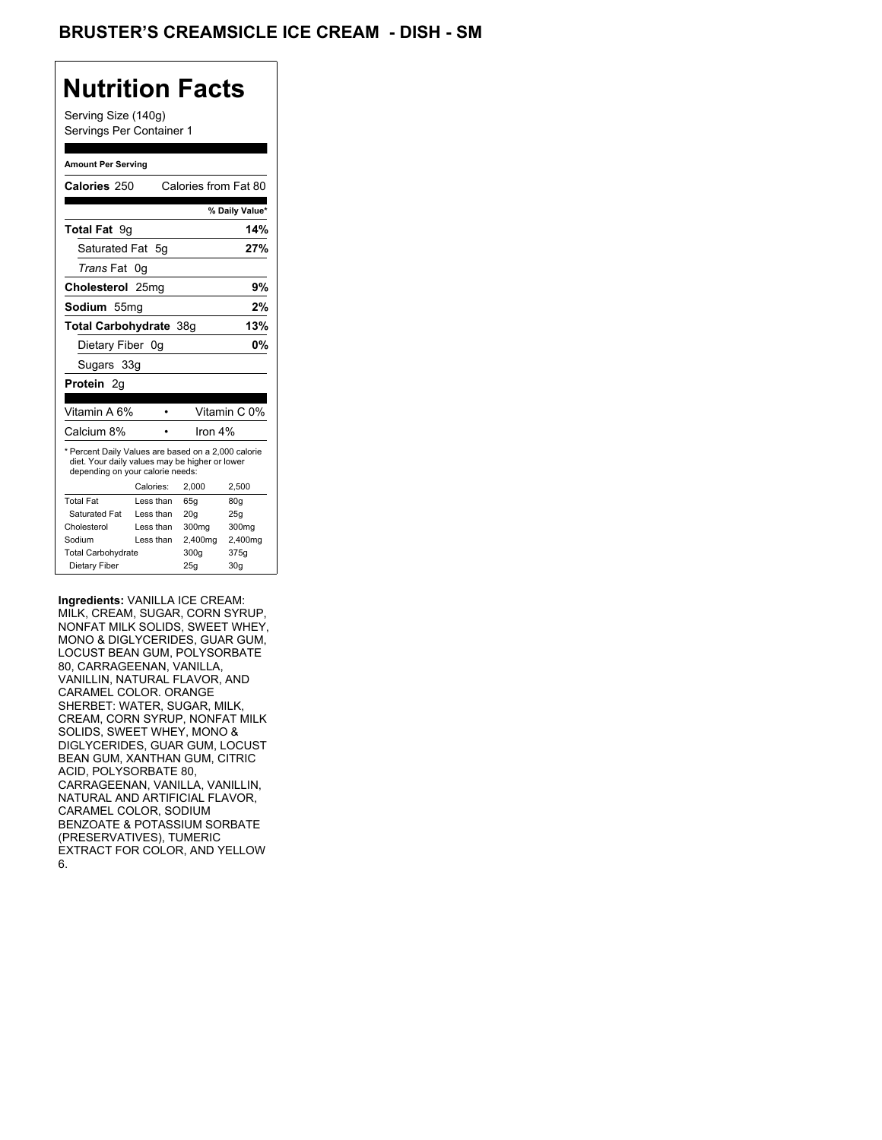## **Nutrition Facts**

Serving Size (140g) Servings Per Container 1

#### **Amount Per Serving**

| Calories 250                                                                                                                              |           | Calories from Fat 80 |                |
|-------------------------------------------------------------------------------------------------------------------------------------------|-----------|----------------------|----------------|
|                                                                                                                                           |           |                      | % Daily Value* |
| <b>Total Fat</b> 9q                                                                                                                       |           |                      | 14%            |
| Saturated Fat 5g                                                                                                                          |           |                      | 27%            |
| <i>Trans</i> Fat                                                                                                                          | .0a       |                      |                |
| Cholesterol 25mg                                                                                                                          |           |                      | 9%             |
| Sodium 55mq                                                                                                                               |           |                      | 2%             |
| Total Carbohydrate 38g                                                                                                                    |           |                      | 13%            |
| Dietary Fiber 0g                                                                                                                          |           |                      | 0%             |
| Sugars 33g                                                                                                                                |           |                      |                |
| Protein 2q                                                                                                                                |           |                      |                |
| Vitamin A 6%                                                                                                                              |           |                      | Vitamin C 0%   |
| Calcium 8%                                                                                                                                |           | Iron $4%$            |                |
| * Percent Daily Values are based on a 2,000 calorie<br>diet. Your daily values may be higher or lower<br>depending on your calorie needs: |           |                      |                |
|                                                                                                                                           | Calories: | 2,000                | 2,500          |
| <b>Total Fat</b>                                                                                                                          | Less than | 65q                  | 80q            |
| Saturated Fat                                                                                                                             | Less than | 20 <sub>g</sub>      | 25g            |
| Cholesterol                                                                                                                               | Less than | 300mg                | 300mg          |
|                                                                                                                                           | Less than | 2,400mg              | 2,400mg        |
|                                                                                                                                           |           |                      |                |
| Sodium<br><b>Total Carbohydrate</b>                                                                                                       |           | 300g                 | 375g           |

**Ingredients:** VANILLA ICE CREAM: MILK, CREAM, SUGAR, CORN SYRUP, NONFAT MILK SOLIDS, SWEET WHEY, MONO & DIGLYCERIDES, GUAR GUM, LOCUST BEAN GUM, POLYSORBATE 80, CARRAGEENAN, VANILLA, VANILLIN, NATURAL FLAVOR, AND CARAMEL COLOR. ORANGE SHERBET: WATER, SUGAR, MILK, CREAM, CORN SYRUP, NONFAT MILK SOLIDS, SWEET WHEY, MONO & DIGLYCERIDES, GUAR GUM, LOCUST BEAN GUM, XANTHAN GUM, CITRIC ACID, POLYSORBATE 80, CARRAGEENAN, VANILLA, VANILLIN, NATURAL AND ARTIFICIAL FLAVOR, CARAMEL COLOR, SODIUM BENZOATE & POTASSIUM SORBATE (PRESERVATIVES), TUMERIC EXTRACT FOR COLOR, AND YELLOW 6.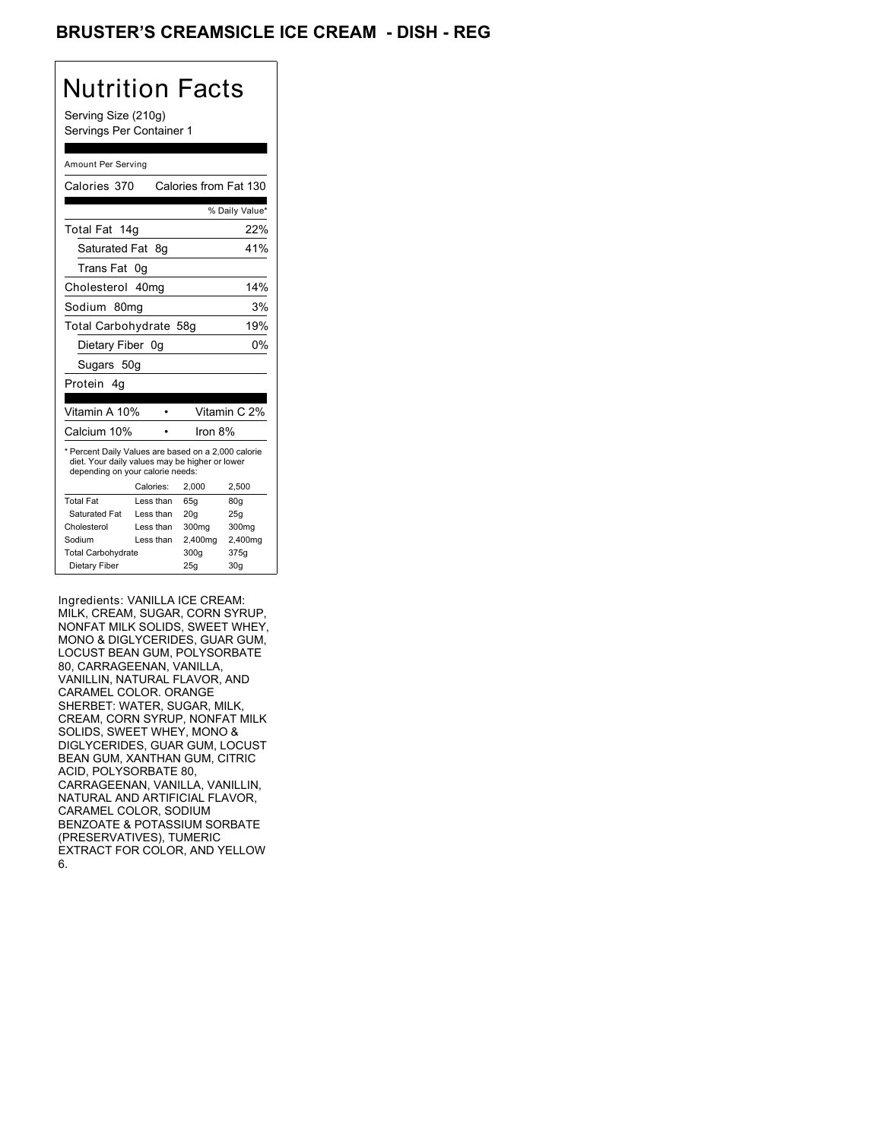## BRUSTER'S CREAMSICLE ICE CREAM - DISH - REG

# Nutrition Facts

Serving Size (210g) Servings Per Container 1

#### Amount Per Serving

| Calories 370                                                                                                                              |           | Calories from Fat 130 |                |
|-------------------------------------------------------------------------------------------------------------------------------------------|-----------|-----------------------|----------------|
|                                                                                                                                           |           |                       | % Daily Value* |
| Total Fat 14g                                                                                                                             |           |                       | 22%            |
| Saturated Fat                                                                                                                             | - 8g      |                       | 41%            |
| Trans Fat                                                                                                                                 | 0g        |                       |                |
| Cholesterol                                                                                                                               | 40mg      |                       | 14%            |
| Sodium 80mg                                                                                                                               |           |                       | 3%             |
| Total Carbohydrate 58g                                                                                                                    |           |                       | 19%            |
| Dietary Fiber 0g                                                                                                                          |           |                       | 0%             |
| Sugars 50g                                                                                                                                |           |                       |                |
| Protein 4a                                                                                                                                |           |                       |                |
| Vitamin A 10%                                                                                                                             |           |                       | Vitamin C 2%   |
| Calcium 10%                                                                                                                               |           | Iron 8%               |                |
| * Percent Daily Values are based on a 2,000 calorie<br>diet. Your daily values may be higher or lower<br>depending on your calorie needs: |           |                       |                |
|                                                                                                                                           | Calories: | 2.000                 | 2.500          |
| <b>Total Fat</b>                                                                                                                          | Less than | 65q                   | 80q            |
| Saturated Fat                                                                                                                             | Less than | 20 <sub>g</sub>       | 25g            |
| Cholesterol                                                                                                                               | Less than | 300mg                 | 300mg          |
| Sodium                                                                                                                                    | Less than | 2,400mg               | 2,400mg        |
| <b>Total Carbohydrate</b>                                                                                                                 |           | 300g                  | 375g           |
| Dietary Fiber                                                                                                                             |           | 25q                   | 30q            |

Ingredients: VANILLA ICE CREAM: MILK, CREAM, SUGAR, CORN SYRUP, NONFAT MILK SOLIDS, SWEET WHEY, MONO & DIGLYCERIDES, GUAR GUM, LOCUST BEAN GUM, POLYSORBATE 80, CARRAGEENAN, VANILLA, VANILLIN, NATURAL FLAVOR, AND CARAMEL COLOR. ORANGE SHERBET: WATER, SUGAR, MILK, CREAM, CORN SYRUP, NONFAT MILK SOLIDS, SWEET WHEY, MONO & DIGLYCERIDES, GUAR GUM, LOCUST BEAN GUM, XANTHAN GUM, CITRIC ACID, POLYSORBATE 80, CARRAGEENAN, VANILLA, VANILLIN, NATURAL AND ARTIFICIAL FLAVOR, CARAMEL COLOR, SODIUM BENZOATE & POTASSIUM SORBATE (PRESERVATIVES), TUMERIC EXTRACT FOR COLOR, AND YELLOW 6.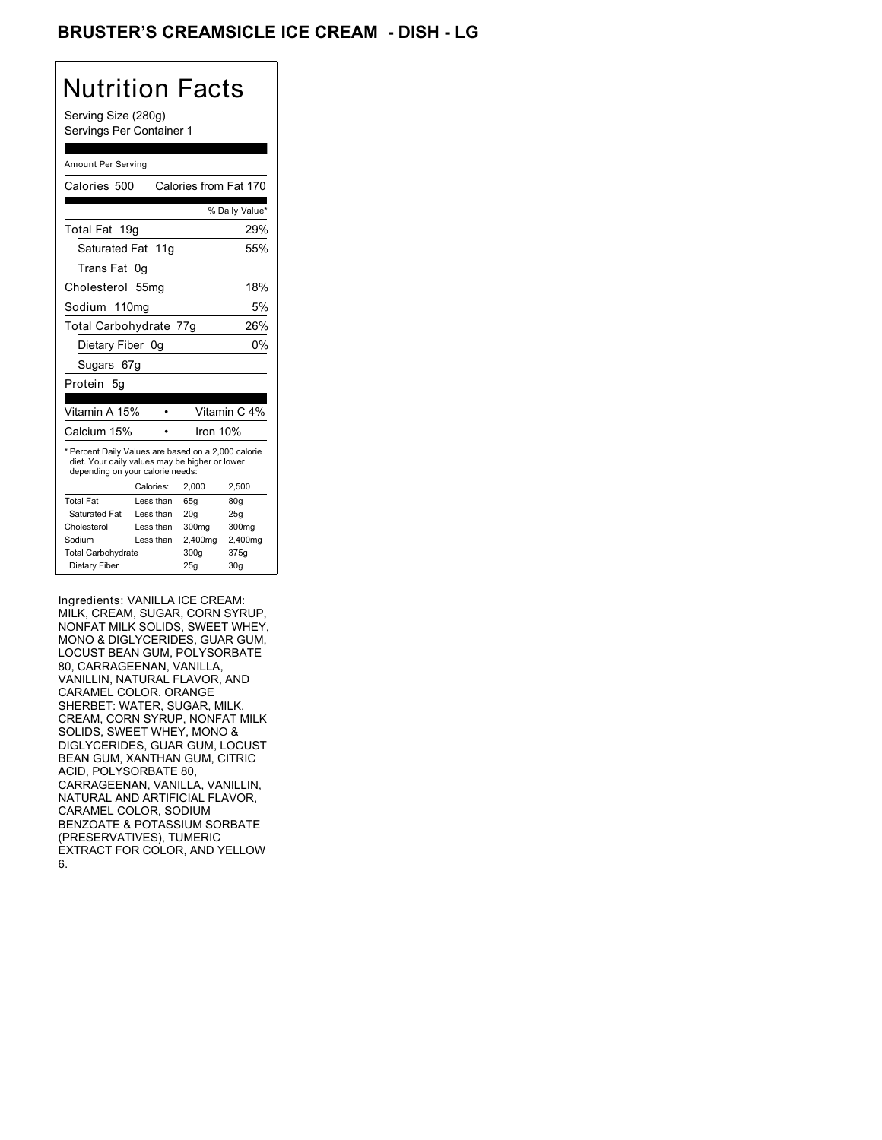## BRUSTER'S CREAMSICLE ICE CREAM - DISH - LG

## Nutrition Facts

Serving Size (280g) Servings Per Container 1

#### Amount Per Serving

| Calories 500                                                                                                                              |            | Calories from Fat 170 |                |
|-------------------------------------------------------------------------------------------------------------------------------------------|------------|-----------------------|----------------|
|                                                                                                                                           |            |                       | % Daily Value* |
| Total Fat 19g                                                                                                                             |            |                       | 29%            |
| Saturated Fat 11q                                                                                                                         |            |                       | 55%            |
| Trans Fat                                                                                                                                 | 0g         |                       |                |
| Cholesterol                                                                                                                               | 55mg       |                       | 18%            |
| Sodium 110mg                                                                                                                              |            |                       | 5%             |
| Total Carbohydrate 77g                                                                                                                    |            |                       | 26%            |
| Dietary Fiber 0g                                                                                                                          |            |                       | 0%             |
| Sugars 67g                                                                                                                                |            |                       |                |
| Protein<br>5q                                                                                                                             |            |                       |                |
| Vitamin A 15%                                                                                                                             |            |                       | Vitamin C 4%   |
| Calcium 15%                                                                                                                               |            | Iron 10%              |                |
| * Percent Daily Values are based on a 2,000 calorie<br>diet. Your daily values may be higher or lower<br>depending on your calorie needs: |            |                       |                |
|                                                                                                                                           | Calories:  | 2,000                 | 2,500          |
| <b>Total Fat</b>                                                                                                                          | Less than  | 65q                   | 80q            |
| Saturated Fat                                                                                                                             | Less than  | 20q                   | 25q            |
| Cholesterol                                                                                                                               | I ess than | 300mg                 | 300mg          |
| Sodium                                                                                                                                    | Less than  | 2,400mg               | 2,400mg        |
| <b>Total Carbohydrate</b>                                                                                                                 |            | 300g                  | 375g           |
| Dietary Fiber                                                                                                                             |            | 25q                   | 30q            |

Ingredients: VANILLA ICE CREAM: MILK, CREAM, SUGAR, CORN SYRUP, NONFAT MILK SOLIDS, SWEET WHEY, MONO & DIGLYCERIDES, GUAR GUM, LOCUST BEAN GUM, POLYSORBATE 80, CARRAGEENAN, VANILLA, VANILLIN, NATURAL FLAVOR, AND CARAMEL COLOR. ORANGE SHERBET: WATER, SUGAR, MILK, CREAM, CORN SYRUP, NONFAT MILK SOLIDS, SWEET WHEY, MONO & DIGLYCERIDES, GUAR GUM, LOCUST BEAN GUM, XANTHAN GUM, CITRIC ACID, POLYSORBATE 80, CARRAGEENAN, VANILLA, VANILLIN, NATURAL AND ARTIFICIAL FLAVOR, CARAMEL COLOR, SODIUM BENZOATE & POTASSIUM SORBATE (PRESERVATIVES), TUMERIC EXTRACT FOR COLOR, AND YELLOW 6.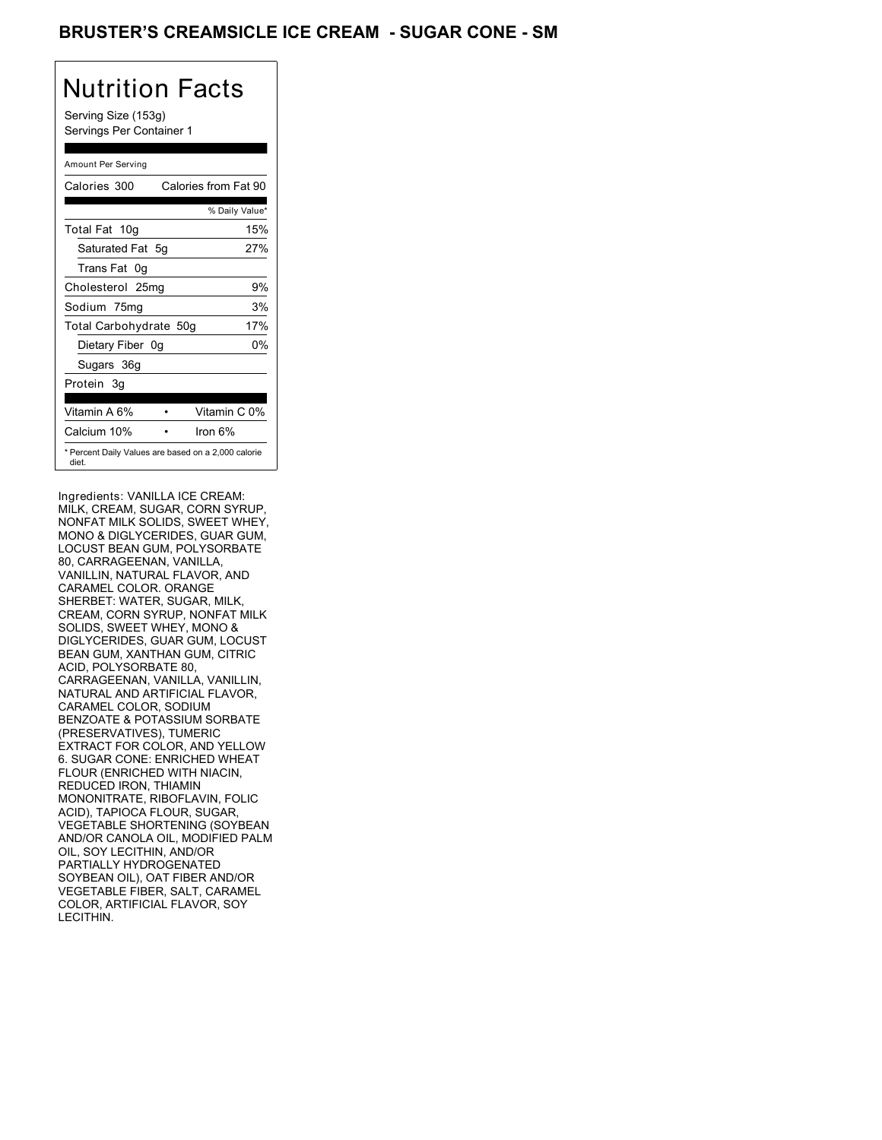## BRUSTER'S CREAMSICLE ICE CREAM - SUGAR CONE - SM

# Nutrition Facts

Serving Size (153g) Servings Per Container 1

#### Amount Per Serving

| Calories 300           |     | Calories from Fat 90                                |
|------------------------|-----|-----------------------------------------------------|
|                        |     | % Daily Value*                                      |
| Total Fat 10g          |     | 15%                                                 |
| Saturated Fat 5q       |     | 27%                                                 |
| Trans Fat 0q           |     |                                                     |
| Cholesterol 25mg       |     | 9%                                                  |
| Sodium 75mg            |     | 3%                                                  |
| Total Carbohydrate 50g |     | 17%                                                 |
| Dietary Fiber          | .0a | 0%                                                  |
| Sugars 36g             |     |                                                     |
| Protein 3g             |     |                                                     |
|                        |     |                                                     |
| Vitamin A 6%           |     | Vitamin C 0%                                        |
| Calcium 10%            |     | lron 6%                                             |
| diet.                  |     | * Percent Daily Values are based on a 2,000 calorie |

Ingredients: VANILLA ICE CREAM: MILK, CREAM, SUGAR, CORN SYRUP, NONFAT MILK SOLIDS, SWEET WHEY, MONO & DIGLYCERIDES, GUAR GUM, LOCUST BEAN GUM, POLYSORBATE 80, CARRAGEENAN, VANILLA, VANILLIN, NATURAL FLAVOR, AND CARAMEL COLOR. ORANGE SHERBET: WATER, SUGAR, MILK, CREAM, CORN SYRUP, NONFAT MILK SOLIDS, SWEET WHEY, MONO & DIGLYCERIDES, GUAR GUM, LOCUST BEAN GUM, XANTHAN GUM, CITRIC ACID, POLYSORBATE 80, CARRAGEENAN, VANILLA, VANILLIN, NATURAL AND ARTIFICIAL FLAVOR, CARAMEL COLOR, SODIUM BENZOATE & POTASSIUM SORBATE (PRESERVATIVES), TUMERIC EXTRACT FOR COLOR, AND YELLOW 6. SUGAR CONE: ENRICHED WHEAT FLOUR (ENRICHED WITH NIACIN, REDUCED IRON, THIAMIN MONONITRATE, RIBOFLAVIN, FOLIC ACID), TAPIOCA FLOUR, SUGAR, VEGETABLE SHORTENING (SOYBEAN AND/OR CANOLA OIL, MODIFIED PALM OIL, SOY LECITHIN, AND/OR PARTIALLY HYDROGENATED SOYBEAN OIL), OAT FIBER AND/OR VEGETABLE FIBER, SALT, CARAMEL COLOR, ARTIFICIAL FLAVOR, SOY LECITHIN.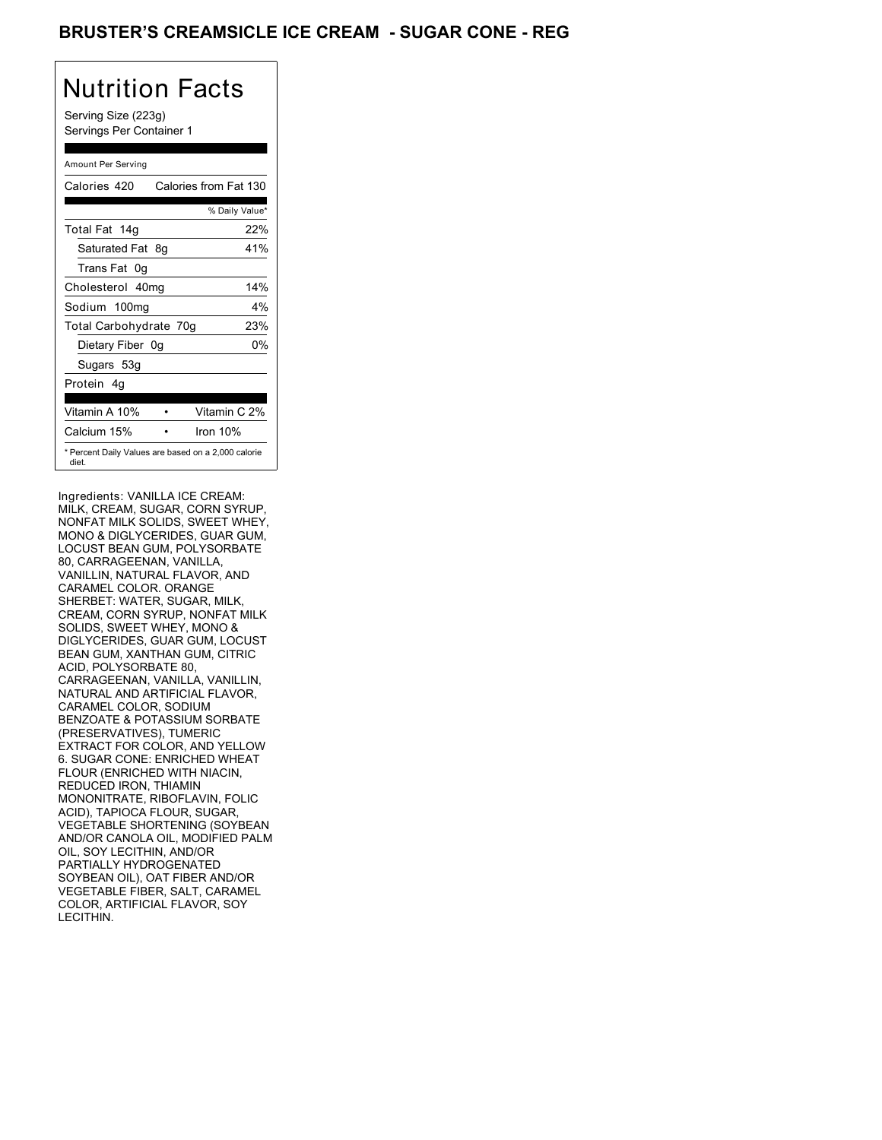## BRUSTER'S CREAMSICLE ICE CREAM - SUGAR CONE - REG

# Nutrition Facts

Serving Size (223g) Servings Per Container 1

#### Amount Per Serving

| Calories 420           | Calories from Fat 130                               |
|------------------------|-----------------------------------------------------|
|                        | % Daily Value*                                      |
| Total Fat 14g          | 22%                                                 |
| Saturated Fat 8g       | 41%                                                 |
| Trans Fat 0q           |                                                     |
| Cholesterol 40mg       | 14%                                                 |
| Sodium 100mg           | $4\%$                                               |
| Total Carbohydrate 70g | 23%                                                 |
| Dietary Fiber 0g       | 0%                                                  |
| Sugars 53g             |                                                     |
| Protein 4q             |                                                     |
| Vitamin A 10%          | Vitamin C 2%                                        |
| Calcium 15%            | Iron 10%                                            |
| diet.                  | * Percent Daily Values are based on a 2,000 calorie |

Ingredients: VANILLA ICE CREAM: MILK, CREAM, SUGAR, CORN SYRUP, NONFAT MILK SOLIDS, SWEET WHEY, MONO & DIGLYCERIDES, GUAR GUM, LOCUST BEAN GUM, POLYSORBATE 80, CARRAGEENAN, VANILLA, VANILLIN, NATURAL FLAVOR, AND CARAMEL COLOR. ORANGE SHERBET: WATER, SUGAR, MILK, CREAM, CORN SYRUP, NONFAT MILK SOLIDS, SWEET WHEY, MONO & DIGLYCERIDES, GUAR GUM, LOCUST BEAN GUM, XANTHAN GUM, CITRIC ACID, POLYSORBATE 80, CARRAGEENAN, VANILLA, VANILLIN, NATURAL AND ARTIFICIAL FLAVOR, CARAMEL COLOR, SODIUM BENZOATE & POTASSIUM SORBATE (PRESERVATIVES), TUMERIC EXTRACT FOR COLOR, AND YELLOW 6. SUGAR CONE: ENRICHED WHEAT FLOUR (ENRICHED WITH NIACIN, REDUCED IRON, THIAMIN MONONITRATE, RIBOFLAVIN, FOLIC ACID), TAPIOCA FLOUR, SUGAR, VEGETABLE SHORTENING (SOYBEAN AND/OR CANOLA OIL, MODIFIED PALM OIL, SOY LECITHIN, AND/OR PARTIALLY HYDROGENATED SOYBEAN OIL), OAT FIBER AND/OR VEGETABLE FIBER, SALT, CARAMEL COLOR, ARTIFICIAL FLAVOR, SOY LECITHIN.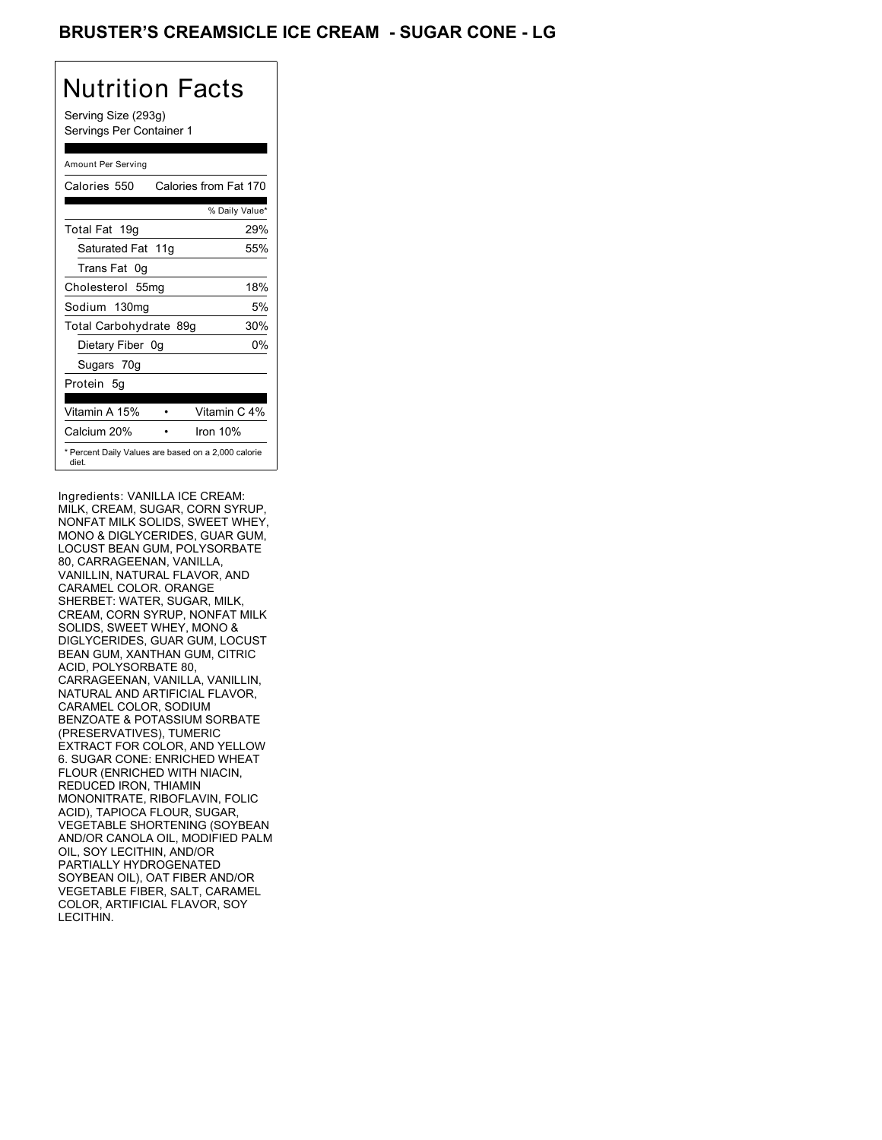## BRUSTER'S CREAMSICLE ICE CREAM - SUGAR CONE - LG

# Nutrition Facts

Serving Size (293g) Servings Per Container 1

#### Amount Per Serving

| Calories 550           | Calories from Fat 170                               |
|------------------------|-----------------------------------------------------|
|                        | % Daily Value*                                      |
| Total Fat 19g          | 29%                                                 |
| Saturated Fat 11g      | 55%                                                 |
| Trans Fat 0q           |                                                     |
| Cholesterol 55mg       | 18%                                                 |
| Sodium 130mg           | 5%                                                  |
| Total Carbohydrate 89g | 30%                                                 |
| Dietary Fiber 0g       | 0%                                                  |
| Sugars 70g             |                                                     |
| Protein 5q             |                                                     |
| Vitamin A 15%          | Vitamin C 4%                                        |
| Calcium 20%            | Iron 10%                                            |
| diet.                  | * Percent Daily Values are based on a 2,000 calorie |

Ingredients: VANILLA ICE CREAM: MILK, CREAM, SUGAR, CORN SYRUP, NONFAT MILK SOLIDS, SWEET WHEY, MONO & DIGLYCERIDES, GUAR GUM, LOCUST BEAN GUM, POLYSORBATE 80, CARRAGEENAN, VANILLA, VANILLIN, NATURAL FLAVOR, AND CARAMEL COLOR. ORANGE SHERBET: WATER, SUGAR, MILK, CREAM, CORN SYRUP, NONFAT MILK SOLIDS, SWEET WHEY, MONO & DIGLYCERIDES, GUAR GUM, LOCUST BEAN GUM, XANTHAN GUM, CITRIC ACID, POLYSORBATE 80, CARRAGEENAN, VANILLA, VANILLIN, NATURAL AND ARTIFICIAL FLAVOR, CARAMEL COLOR, SODIUM BENZOATE & POTASSIUM SORBATE (PRESERVATIVES), TUMERIC EXTRACT FOR COLOR, AND YELLOW 6. SUGAR CONE: ENRICHED WHEAT FLOUR (ENRICHED WITH NIACIN, REDUCED IRON, THIAMIN MONONITRATE, RIBOFLAVIN, FOLIC ACID), TAPIOCA FLOUR, SUGAR, VEGETABLE SHORTENING (SOYBEAN AND/OR CANOLA OIL, MODIFIED PALM OIL, SOY LECITHIN, AND/OR PARTIALLY HYDROGENATED SOYBEAN OIL), OAT FIBER AND/OR VEGETABLE FIBER, SALT, CARAMEL COLOR, ARTIFICIAL FLAVOR, SOY LECITHIN.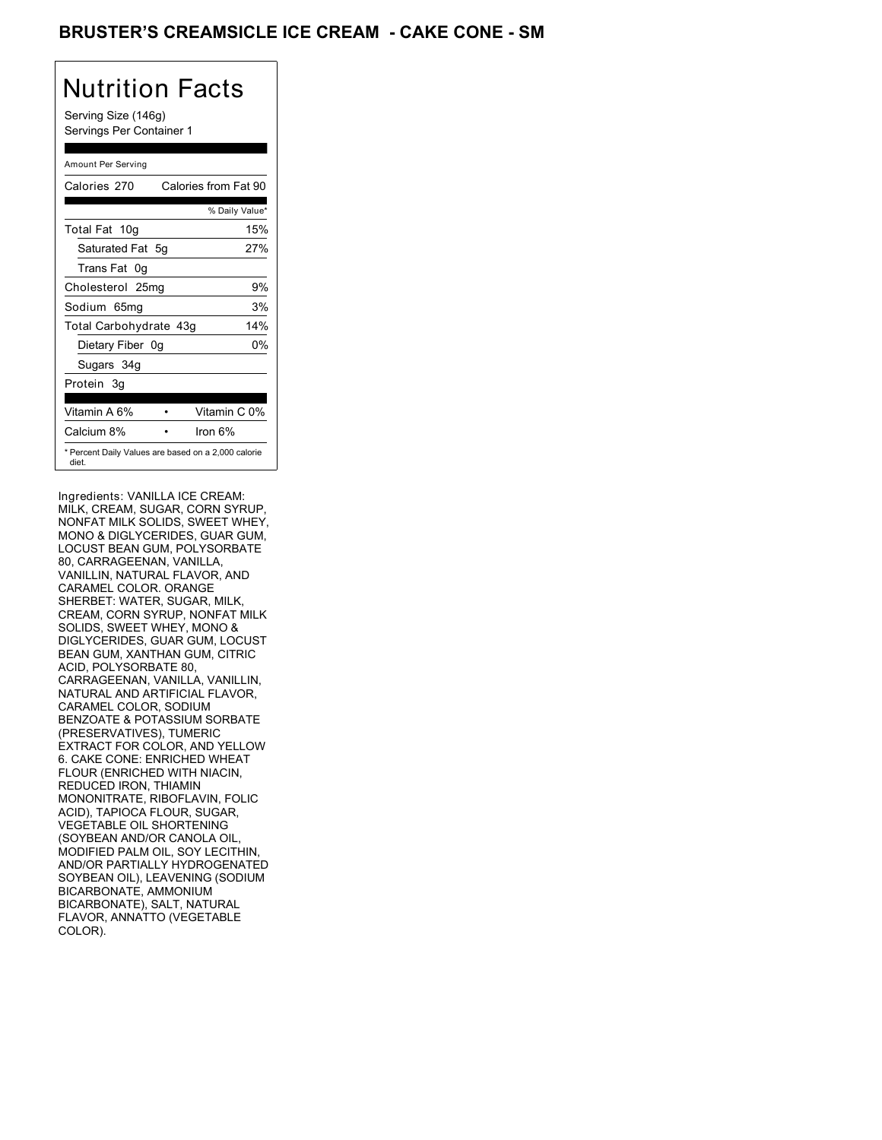## BRUSTER'S CREAMSICLE ICE CREAM **- CAKE CONE - SM**

## Nutrition Facts

Serving Size (146g) Servings Per Container 1

#### Amount Per Serving

| Calories 270           |     | Calories from Fat 90                                |
|------------------------|-----|-----------------------------------------------------|
|                        |     | % Daily Value*                                      |
| Total Fat 10g          |     | 15%                                                 |
| Saturated Fat 5g       |     | 27%                                                 |
| Trans Fat 0q           |     |                                                     |
| Cholesterol 25mg       |     | 9%                                                  |
| Sodium 65mq            |     | 3%                                                  |
| Total Carbohydrate 43g |     | 14%                                                 |
| Dietary Fiber          | .0a | 0%                                                  |
| Sugars 34g             |     |                                                     |
| Protein 3g             |     |                                                     |
| Vitamin A 6%           |     | Vitamin C 0%                                        |
| Calcium 8%             |     | Iron $6\%$                                          |
| diet.                  |     | * Percent Daily Values are based on a 2,000 calorie |

Ingredients: VANILLA ICE CREAM: MILK, CREAM, SUGAR, CORN SYRUP, NONFAT MILK SOLIDS, SWEET WHEY, MONO & DIGLYCERIDES, GUAR GUM, LOCUST BEAN GUM, POLYSORBATE 80, CARRAGEENAN, VANILLA, VANILLIN, NATURAL FLAVOR, AND CARAMEL COLOR. ORANGE SHERBET: WATER, SUGAR, MILK, CREAM, CORN SYRUP, NONFAT MILK SOLIDS, SWEET WHEY, MONO & DIGLYCERIDES, GUAR GUM, LOCUST BEAN GUM, XANTHAN GUM, CITRIC ACID, POLYSORBATE 80, CARRAGEENAN, VANILLA, VANILLIN, NATURAL AND ARTIFICIAL FLAVOR, CARAMEL COLOR, SODIUM BENZOATE & POTASSIUM SORBATE (PRESERVATIVES), TUMERIC EXTRACT FOR COLOR, AND YELLOW 6. CAKE CONE: ENRICHED WHEAT FLOUR (ENRICHED WITH NIACIN, REDUCED IRON, THIAMIN MONONITRATE, RIBOFLAVIN, FOLIC ACID), TAPIOCA FLOUR, SUGAR, VEGETABLE OIL SHORTENING (SOYBEAN AND/OR CANOLA OIL, MODIFIED PALM OIL, SOY LECITHIN, AND/OR PARTIALLY HYDROGENATED SOYBEAN OIL), LEAVENING (SODIUM BICARBONATE, AMMONIUM BICARBONATE), SALT, NATURAL FLAVOR, ANNATTO (VEGETABLE COLOR).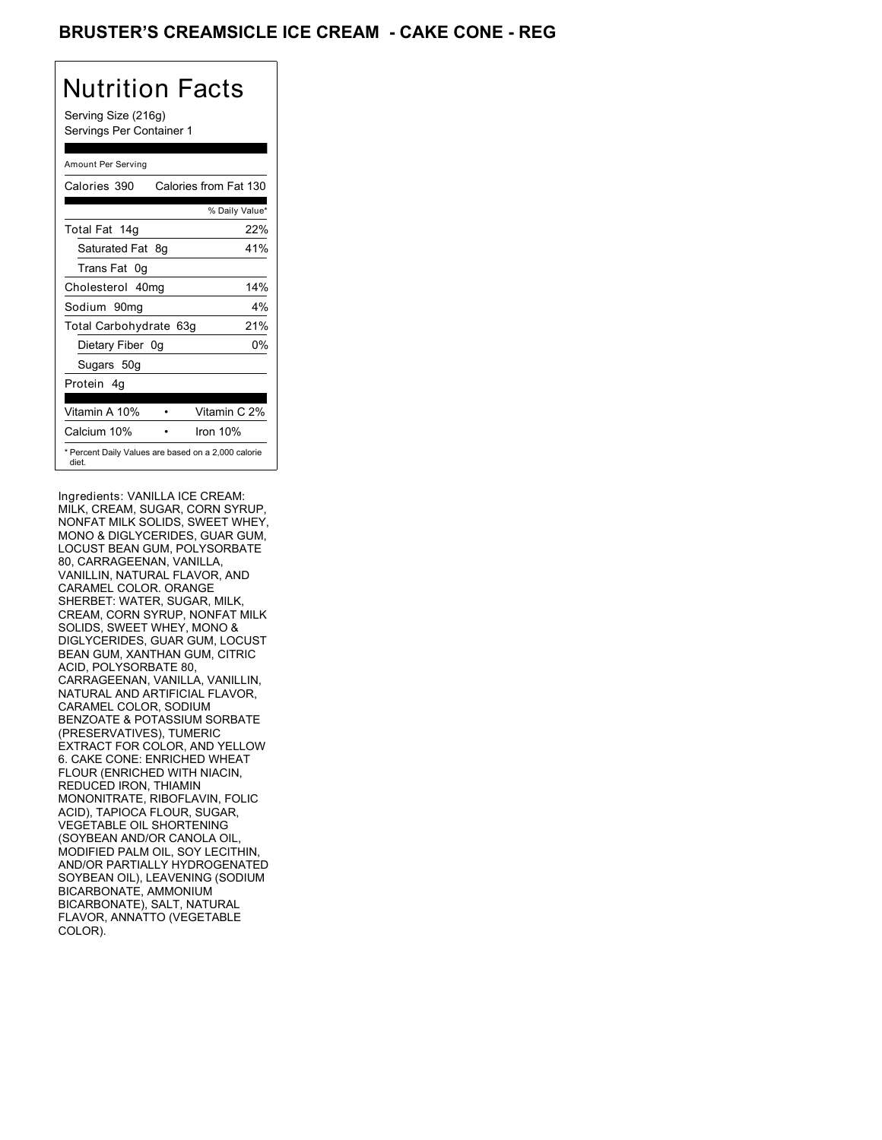## BRUSTER'S CREAMSICLE ICE CREAM **- CAKE CONE - REG**

# Nutrition Facts

Serving Size (216g) Servings Per Container 1

#### Amount Per Serving

| Calories 390           |    | Calories from Fat 130                               |
|------------------------|----|-----------------------------------------------------|
|                        |    | % Daily Value*                                      |
| Total Fat 14g          |    | 22%                                                 |
| Saturated Fat 8q       |    | 41%                                                 |
| Trans Fat 0q           |    |                                                     |
| Cholesterol 40mg       |    | 14%                                                 |
| Sodium 90mg            |    | 4%                                                  |
| Total Carbohydrate 63g |    | 21%                                                 |
| Dietary Fiber          | 0a | 0%                                                  |
| Sugars 50g             |    |                                                     |
| Protein 4q             |    |                                                     |
|                        |    |                                                     |
| Vitamin A 10%          |    | Vitamin C 2%                                        |
| Calcium 10%            |    | Iron 10%                                            |
| diet.                  |    | * Percent Daily Values are based on a 2,000 calorie |

Ingredients: VANILLA ICE CREAM: MILK, CREAM, SUGAR, CORN SYRUP, NONFAT MILK SOLIDS, SWEET WHEY, MONO & DIGLYCERIDES, GUAR GUM, LOCUST BEAN GUM, POLYSORBATE 80, CARRAGEENAN, VANILLA, VANILLIN, NATURAL FLAVOR, AND CARAMEL COLOR. ORANGE SHERBET: WATER, SUGAR, MILK, CREAM, CORN SYRUP, NONFAT MILK SOLIDS, SWEET WHEY, MONO & DIGLYCERIDES, GUAR GUM, LOCUST BEAN GUM, XANTHAN GUM, CITRIC ACID, POLYSORBATE 80, CARRAGEENAN, VANILLA, VANILLIN, NATURAL AND ARTIFICIAL FLAVOR, CARAMEL COLOR, SODIUM BENZOATE & POTASSIUM SORBATE (PRESERVATIVES), TUMERIC EXTRACT FOR COLOR, AND YELLOW 6. CAKE CONE: ENRICHED WHEAT FLOUR (ENRICHED WITH NIACIN, REDUCED IRON, THIAMIN MONONITRATE, RIBOFLAVIN, FOLIC ACID), TAPIOCA FLOUR, SUGAR, VEGETABLE OIL SHORTENING (SOYBEAN AND/OR CANOLA OIL, MODIFIED PALM OIL, SOY LECITHIN, AND/OR PARTIALLY HYDROGENATED SOYBEAN OIL), LEAVENING (SODIUM BICARBONATE, AMMONIUM BICARBONATE), SALT, NATURAL FLAVOR, ANNATTO (VEGETABLE COLOR).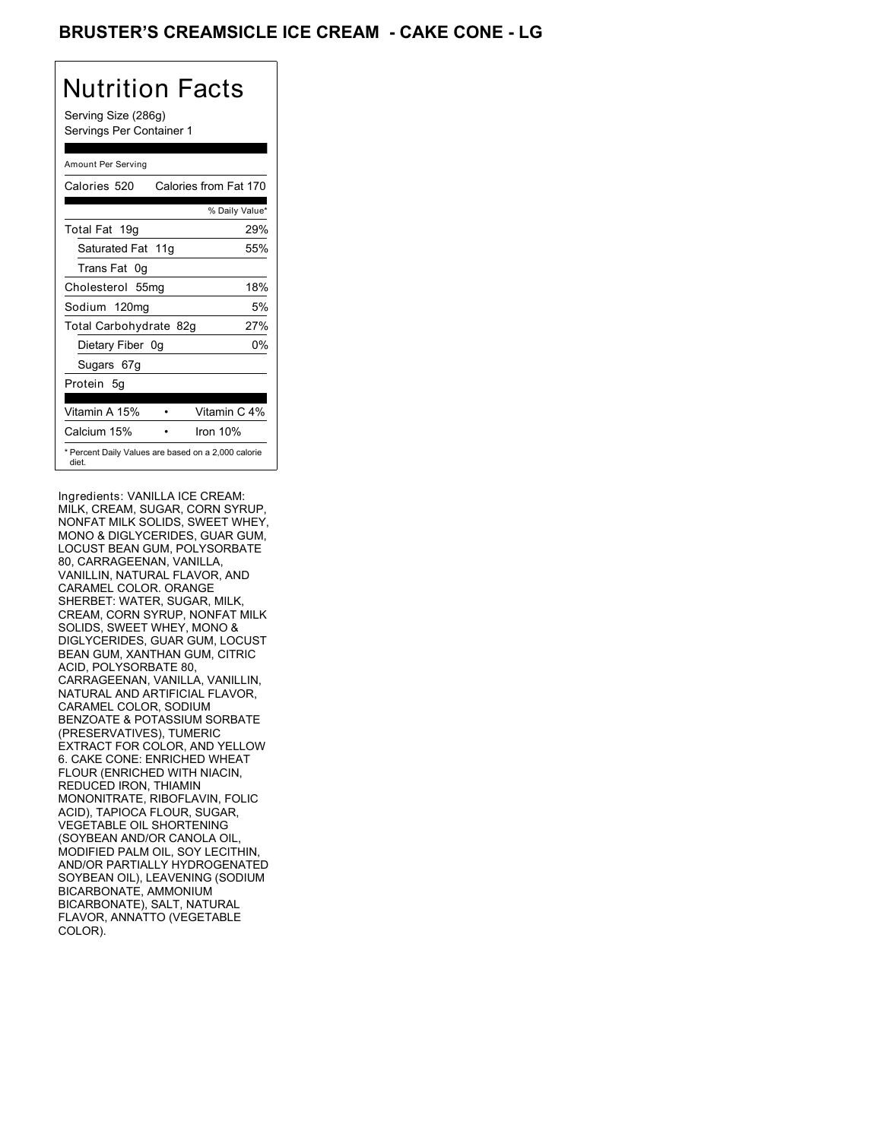## **BRUSTER'S CREAMSICLE ICE CREAM - CAKE CONE - LG**

# Nutrition Facts

Serving Size (286g) Servings Per Container 1

#### Amount Per Serving

| Calories 520           | Calories from Fat 170                               |
|------------------------|-----------------------------------------------------|
|                        | % Daily Value*                                      |
| Total Fat 19g          | 29%                                                 |
| Saturated Fat 11g      | 55%                                                 |
| Trans Fat 0q           |                                                     |
| Cholesterol 55mg       | 18%                                                 |
| Sodium 120mg           | 5%                                                  |
| Total Carbohydrate 82g | 27%                                                 |
| Dietary Fiber 0g       | 0%                                                  |
| Sugars 67g             |                                                     |
| Protein 5q             |                                                     |
| Vitamin A 15%          | Vitamin C 4%                                        |
| Calcium 15%            | Iron 10%                                            |
| diet.                  | * Percent Daily Values are based on a 2,000 calorie |

Ingredients: VANILLA ICE CREAM: MILK, CREAM, SUGAR, CORN SYRUP, NONFAT MILK SOLIDS, SWEET WHEY, MONO & DIGLYCERIDES, GUAR GUM, LOCUST BEAN GUM, POLYSORBATE 80, CARRAGEENAN, VANILLA, VANILLIN, NATURAL FLAVOR, AND CARAMEL COLOR. ORANGE SHERBET: WATER, SUGAR, MILK, CREAM, CORN SYRUP, NONFAT MILK SOLIDS, SWEET WHEY, MONO & DIGLYCERIDES, GUAR GUM, LOCUST BEAN GUM, XANTHAN GUM, CITRIC ACID, POLYSORBATE 80, CARRAGEENAN, VANILLA, VANILLIN, NATURAL AND ARTIFICIAL FLAVOR, CARAMEL COLOR, SODIUM BENZOATE & POTASSIUM SORBATE (PRESERVATIVES), TUMERIC EXTRACT FOR COLOR, AND YELLOW 6. CAKE CONE: ENRICHED WHEAT FLOUR (ENRICHED WITH NIACIN, REDUCED IRON, THIAMIN MONONITRATE, RIBOFLAVIN, FOLIC ACID), TAPIOCA FLOUR, SUGAR, VEGETABLE OIL SHORTENING (SOYBEAN AND/OR CANOLA OIL, MODIFIED PALM OIL, SOY LECITHIN, AND/OR PARTIALLY HYDROGENATED SOYBEAN OIL), LEAVENING (SODIUM BICARBONATE, AMMONIUM BICARBONATE), SALT, NATURAL FLAVOR, ANNATTO (VEGETABLE COLOR).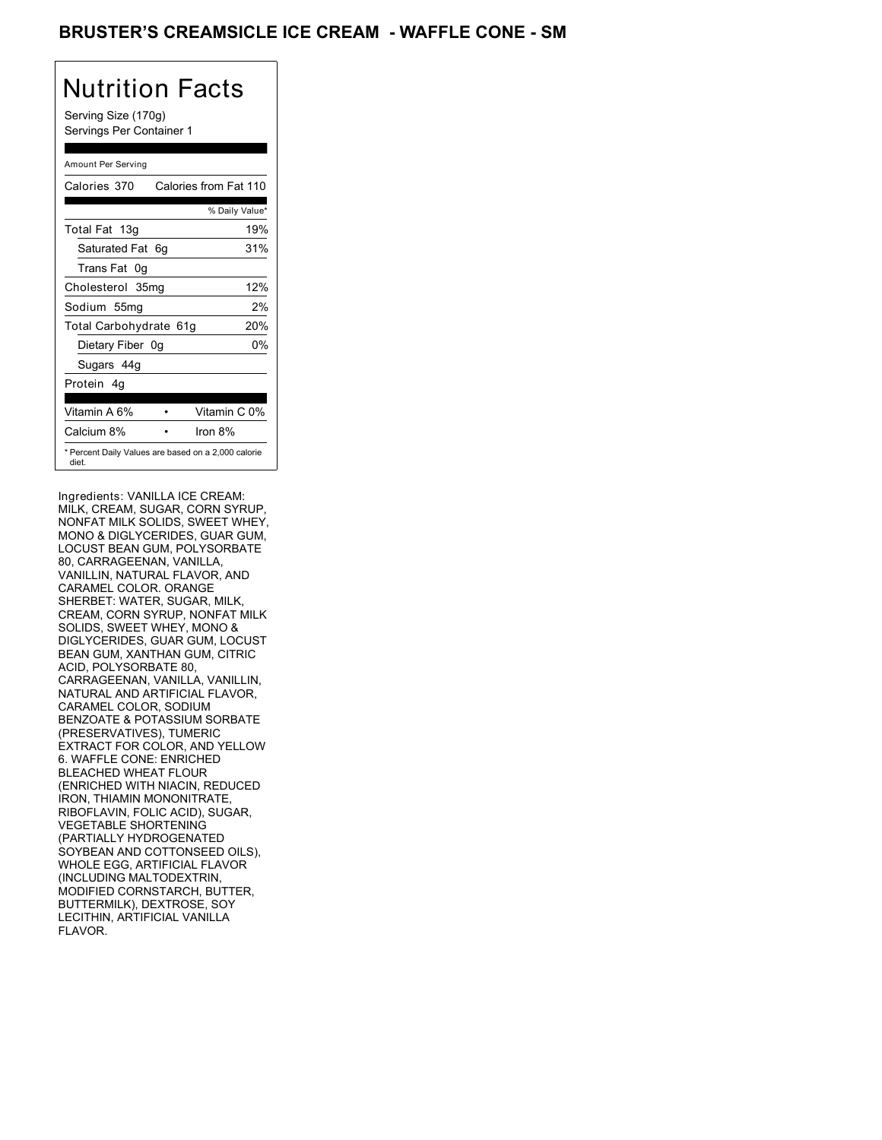## BRUSTER'S CREAMSICLE ICE CREAM - WAFFLE CONE - SM

# Nutrition Facts

Serving Size (170g) Servings Per Container 1

#### Amount Per Serving

| Calories 370           |    | Calories from Fat 110                               |
|------------------------|----|-----------------------------------------------------|
|                        |    | % Daily Value*                                      |
| Total Fat 13g          |    | 19%                                                 |
| Saturated Fat 6g       |    | 31%                                                 |
| Trans Fat 0q           |    |                                                     |
| Cholesterol 35mg       |    | 12%                                                 |
| Sodium 55mg            |    | 2%                                                  |
| Total Carbohydrate 61g |    | 20%                                                 |
| Dietary Fiber          | 0g | 0%                                                  |
| Sugars 44g             |    |                                                     |
| Protein 4q             |    |                                                     |
|                        |    |                                                     |
| Vitamin A 6%           |    | Vitamin C 0%                                        |
| Calcium 8%             |    | Iron $8%$                                           |
| diet.                  |    | * Percent Daily Values are based on a 2,000 calorie |

Ingredients: VANILLA ICE CREAM: MILK, CREAM, SUGAR, CORN SYRUP, NONFAT MILK SOLIDS, SWEET WHEY, MONO & DIGLYCERIDES, GUAR GUM, LOCUST BEAN GUM, POLYSORBATE 80, CARRAGEENAN, VANILLA, VANILLIN, NATURAL FLAVOR, AND CARAMEL COLOR. ORANGE SHERBET: WATER, SUGAR, MILK, CREAM, CORN SYRUP, NONFAT MILK SOLIDS, SWEET WHEY, MONO & DIGLYCERIDES, GUAR GUM, LOCUST BEAN GUM, XANTHAN GUM, CITRIC ACID, POLYSORBATE 80, CARRAGEENAN, VANILLA, VANILLIN, NATURAL AND ARTIFICIAL FLAVOR, CARAMEL COLOR, SODIUM BENZOATE & POTASSIUM SORBATE (PRESERVATIVES), TUMERIC EXTRACT FOR COLOR, AND YELLOW 6. WAFFLE CONE: ENRICHED BLEACHED WHEAT FLOUR (ENRICHED WITH NIACIN, REDUCED IRON, THIAMIN MONONITRATE, RIBOFLAVIN, FOLIC ACID), SUGAR, VEGETABLE SHORTENING (PARTIALLY HYDROGENATED SOYBEAN AND COTTONSEED OILS), WHOLE EGG, ARTIFICIAL FLAVOR (INCLUDING MALTODEXTRIN, MODIFIED CORNSTARCH, BUTTER, BUTTERMILK), DEXTROSE, SOY LECITHIN, ARTIFICIAL VANILLA FLAVOR.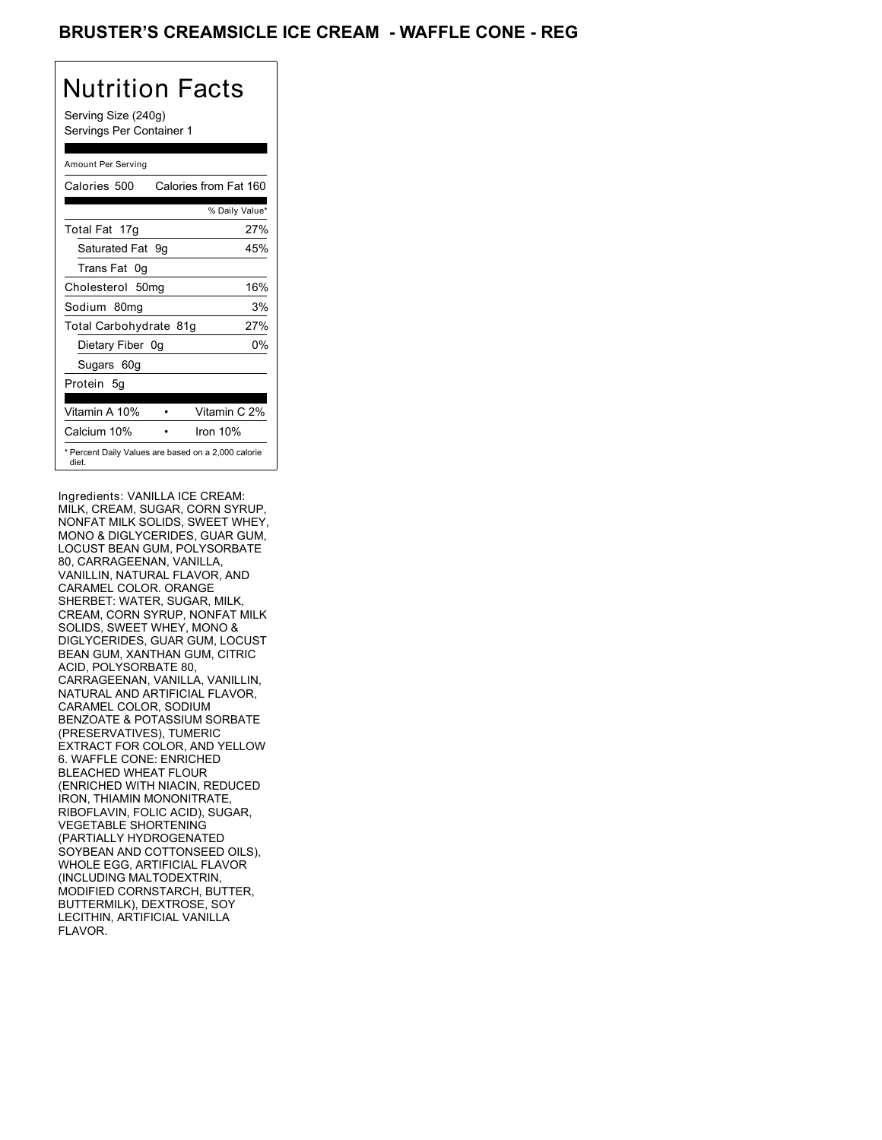## BRUSTER'S CREAMSICLE ICE CREAM - WAFFLE CONE - REG

# Nutrition Facts

Serving Size (240g) Servings Per Container 1

#### Amount Per Serving

| Calories 500           | Calories from Fat 160                               |
|------------------------|-----------------------------------------------------|
|                        | % Daily Value*                                      |
| Total Fat 17g          | 27%                                                 |
| Saturated Fat 9g       | 45%                                                 |
| Trans Fat 0q           |                                                     |
| Cholesterol 50mg       | 16%                                                 |
| Sodium 80mg            | 3%                                                  |
| Total Carbohydrate 81g | 27%                                                 |
| Dietary Fiber 0g       | 0%                                                  |
| Sugars 60g             |                                                     |
| Protein 5q             |                                                     |
| Vitamin A 10%          | Vitamin C 2%                                        |
| Calcium 10%            | Iron 10%                                            |
| diet.                  | * Percent Daily Values are based on a 2,000 calorie |

Ingredients: VANILLA ICE CREAM: MILK, CREAM, SUGAR, CORN SYRUP, NONFAT MILK SOLIDS, SWEET WHEY, MONO & DIGLYCERIDES, GUAR GUM, LOCUST BEAN GUM, POLYSORBATE 80, CARRAGEENAN, VANILLA, VANILLIN, NATURAL FLAVOR, AND CARAMEL COLOR. ORANGE SHERBET: WATER, SUGAR, MILK, CREAM, CORN SYRUP, NONFAT MILK SOLIDS, SWEET WHEY, MONO & DIGLYCERIDES, GUAR GUM, LOCUST BEAN GUM, XANTHAN GUM, CITRIC ACID, POLYSORBATE 80, CARRAGEENAN, VANILLA, VANILLIN, NATURAL AND ARTIFICIAL FLAVOR, CARAMEL COLOR, SODIUM BENZOATE & POTASSIUM SORBATE (PRESERVATIVES), TUMERIC EXTRACT FOR COLOR, AND YELLOW 6. WAFFLE CONE: ENRICHED BLEACHED WHEAT FLOUR (ENRICHED WITH NIACIN, REDUCED IRON, THIAMIN MONONITRATE, RIBOFLAVIN, FOLIC ACID), SUGAR, VEGETABLE SHORTENING (PARTIALLY HYDROGENATED SOYBEAN AND COTTONSEED OILS), WHOLE EGG, ARTIFICIAL FLAVOR (INCLUDING MALTODEXTRIN, MODIFIED CORNSTARCH, BUTTER, BUTTERMILK), DEXTROSE, SOY LECITHIN, ARTIFICIAL VANILLA FLAVOR.